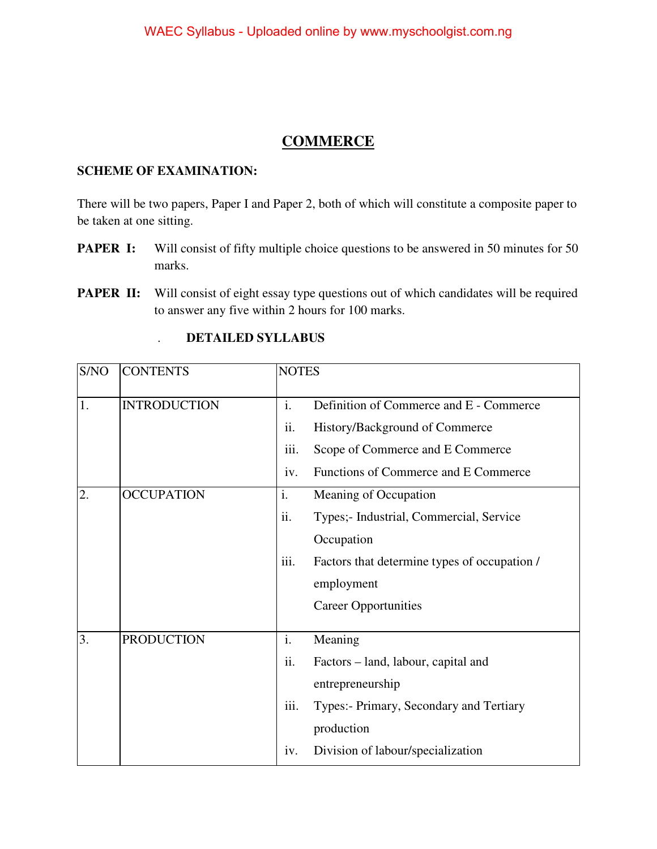#### **COMMERCE**

#### **SCHEME OF EXAMINATION:**

There will be two papers, Paper I and Paper 2, both of which will constitute a composite paper to be taken at one sitting.

- **PAPER I:** Will consist of fifty multiple choice questions to be answered in 50 minutes for 50 marks.
- **PAPER II:** Will consist of eight essay type questions out of which candidates will be required to answer any five within 2 hours for 100 marks.

| S/NO | <b>CONTENTS</b>     | <b>NOTES</b>   |                                              |
|------|---------------------|----------------|----------------------------------------------|
| 1.   | <b>INTRODUCTION</b> | $\mathbf{i}$ . | Definition of Commerce and E - Commerce      |
|      |                     | ii.            | History/Background of Commerce               |
|      |                     | iii.           | Scope of Commerce and E Commerce             |
|      |                     | iv.            | Functions of Commerce and E Commerce         |
| 2.   | <b>OCCUPATION</b>   | i.             | Meaning of Occupation                        |
|      |                     | ii.            | Types;- Industrial, Commercial, Service      |
|      |                     |                | Occupation                                   |
|      |                     | iii.           | Factors that determine types of occupation / |
|      |                     |                | employment                                   |
|      |                     |                | <b>Career Opportunities</b>                  |
| 3.   | <b>PRODUCTION</b>   | i.             | Meaning                                      |
|      |                     | ii.            | Factors – land, labour, capital and          |
|      |                     |                |                                              |
|      |                     |                | entrepreneurship                             |
|      |                     | iii.           | Types:- Primary, Secondary and Tertiary      |
|      |                     |                | production                                   |
|      |                     | iv.            | Division of labour/specialization            |

#### . **DETAILED SYLLABUS**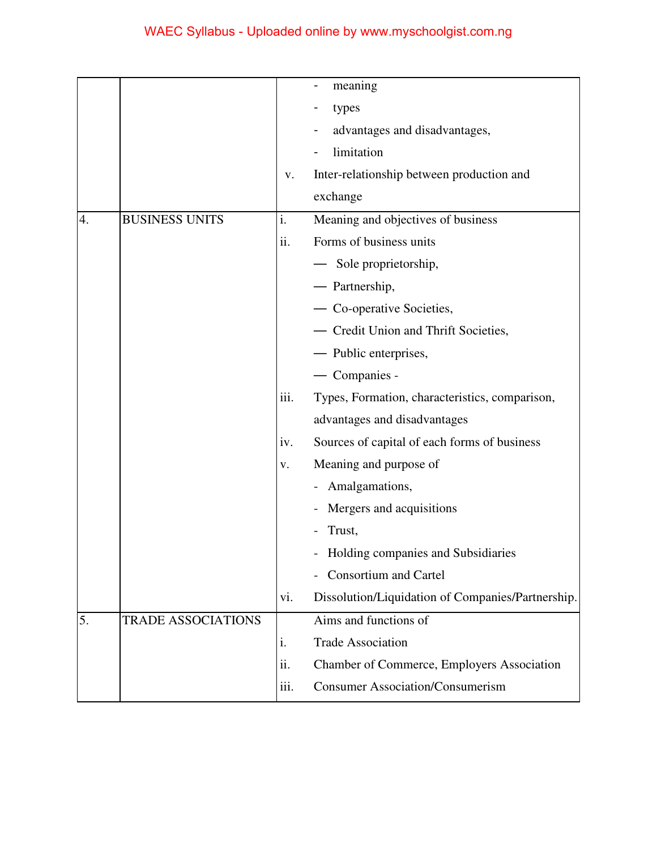|    |                           |      | meaning                                           |
|----|---------------------------|------|---------------------------------------------------|
|    |                           |      | types                                             |
|    |                           |      | advantages and disadvantages,                     |
|    |                           |      | limitation                                        |
|    |                           | V.   | Inter-relationship between production and         |
|    |                           |      | exchange                                          |
| 4. | <b>BUSINESS UNITS</b>     | i.   | Meaning and objectives of business                |
|    |                           | ii.  | Forms of business units                           |
|    |                           |      | — Sole proprietorship,                            |
|    |                           |      | - Partnership,                                    |
|    |                           |      | - Co-operative Societies,                         |
|    |                           |      | - Credit Union and Thrift Societies,              |
|    |                           |      | — Public enterprises,                             |
|    |                           |      | — Companies -                                     |
|    |                           | iii. | Types, Formation, characteristics, comparison,    |
|    |                           |      | advantages and disadvantages                      |
|    |                           | iv.  | Sources of capital of each forms of business      |
|    |                           | V.   | Meaning and purpose of                            |
|    |                           |      | - Amalgamations,                                  |
|    |                           |      | Mergers and acquisitions                          |
|    |                           |      | Trust,                                            |
|    |                           |      | Holding companies and Subsidiaries                |
|    |                           |      | Consortium and Cartel                             |
|    |                           | vi.  | Dissolution/Liquidation of Companies/Partnership. |
| 5. | <b>TRADE ASSOCIATIONS</b> |      | Aims and functions of                             |
|    |                           | i.   | <b>Trade Association</b>                          |
|    |                           | ii.  | Chamber of Commerce, Employers Association        |
|    |                           | iii. | <b>Consumer Association/Consumerism</b>           |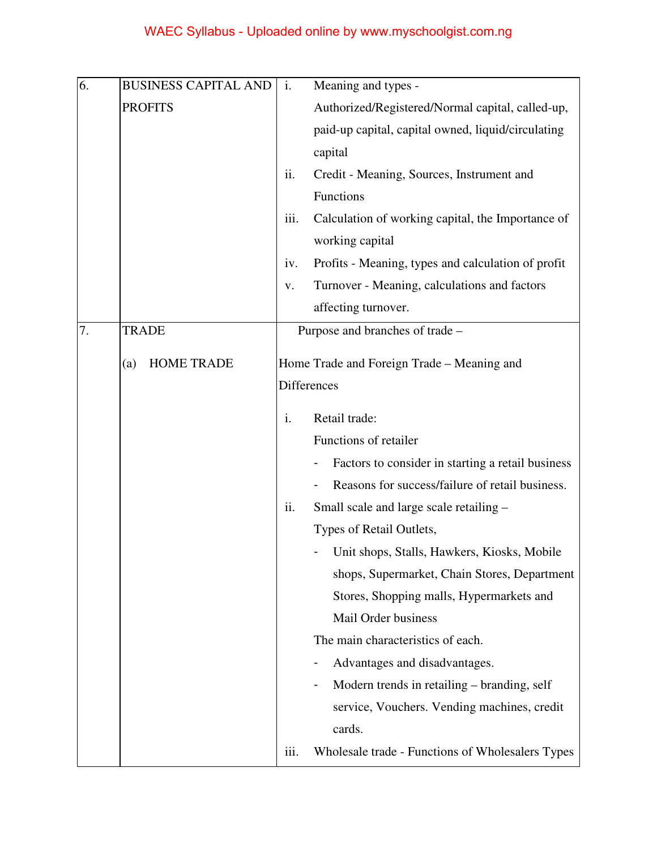| 6. | <b>BUSINESS CAPITAL AND</b> | i.                 | Meaning and types -                                |
|----|-----------------------------|--------------------|----------------------------------------------------|
|    | <b>PROFITS</b>              |                    | Authorized/Registered/Normal capital, called-up,   |
|    |                             |                    | paid-up capital, capital owned, liquid/circulating |
|    |                             |                    | capital                                            |
|    |                             | ii.                | Credit - Meaning, Sources, Instrument and          |
|    |                             |                    | Functions                                          |
|    |                             | iii.               | Calculation of working capital, the Importance of  |
|    |                             |                    | working capital                                    |
|    |                             | iv.                | Profits - Meaning, types and calculation of profit |
|    |                             | V.                 | Turnover - Meaning, calculations and factors       |
|    |                             |                    | affecting turnover.                                |
| 7. | <b>TRADE</b>                |                    | Purpose and branches of trade -                    |
|    | <b>HOME TRADE</b><br>(a)    |                    | Home Trade and Foreign Trade – Meaning and         |
|    |                             | <b>Differences</b> |                                                    |
|    |                             |                    |                                                    |
|    |                             | i.                 | Retail trade:                                      |
|    |                             |                    | Functions of retailer                              |
|    |                             |                    | Factors to consider in starting a retail business  |
|    |                             |                    | Reasons for success/failure of retail business.    |
|    |                             | ii.                | Small scale and large scale retailing -            |
|    |                             |                    | Types of Retail Outlets,                           |
|    |                             |                    | Unit shops, Stalls, Hawkers, Kiosks, Mobile        |
|    |                             |                    | shops, Supermarket, Chain Stores, Department       |
|    |                             |                    | Stores, Shopping malls, Hypermarkets and           |
|    |                             |                    | Mail Order business                                |
|    |                             |                    | The main characteristics of each.                  |
|    |                             |                    | Advantages and disadvantages.                      |
|    |                             |                    | Modern trends in retailing – branding, self        |
|    |                             |                    | service, Vouchers. Vending machines, credit        |
|    |                             |                    | cards.                                             |
|    |                             | iii.               | Wholesale trade - Functions of Wholesalers Types   |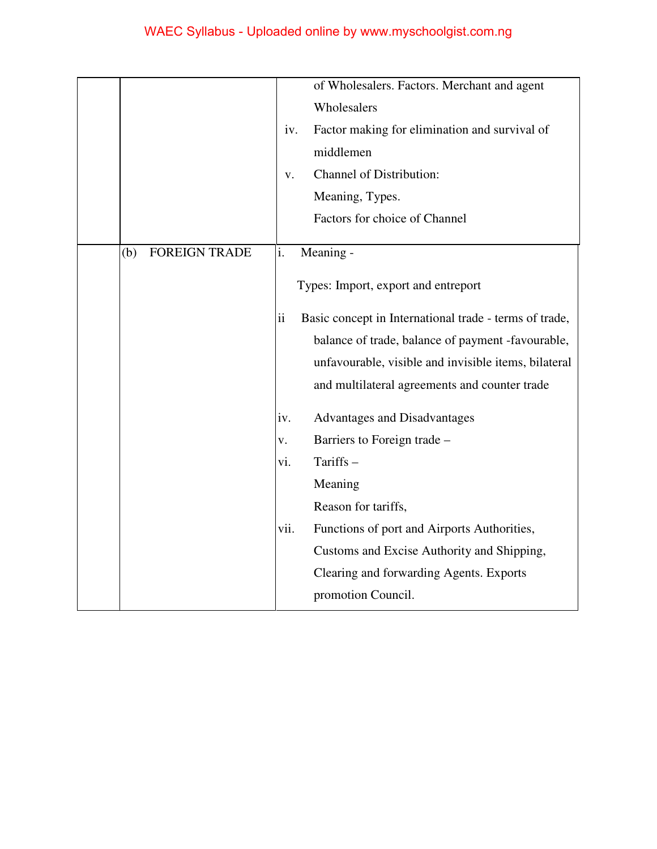|                             |                     | of Wholesalers. Factors. Merchant and agent            |
|-----------------------------|---------------------|--------------------------------------------------------|
|                             |                     | Wholesalers                                            |
|                             | iv.                 | Factor making for elimination and survival of          |
|                             |                     | middlemen                                              |
|                             | V.                  | <b>Channel of Distribution:</b>                        |
|                             |                     | Meaning, Types.                                        |
|                             |                     | Factors for choice of Channel                          |
| <b>FOREIGN TRADE</b><br>(b) | i.                  | Meaning -                                              |
|                             |                     |                                                        |
|                             |                     | Types: Import, export and entreport                    |
|                             | $\ddot{\mathbf{i}}$ | Basic concept in International trade - terms of trade, |
|                             |                     | balance of trade, balance of payment -favourable,      |
|                             |                     | unfavourable, visible and invisible items, bilateral   |
|                             |                     | and multilateral agreements and counter trade          |
|                             | iv.                 | <b>Advantages and Disadvantages</b>                    |
|                             | v.                  | Barriers to Foreign trade -                            |
|                             | vi.                 | Tariffs-                                               |
|                             |                     | Meaning                                                |
|                             |                     | Reason for tariffs,                                    |
|                             | vii.                | Functions of port and Airports Authorities,            |
|                             |                     | Customs and Excise Authority and Shipping,             |
|                             |                     | Clearing and forwarding Agents. Exports                |
|                             |                     | promotion Council.                                     |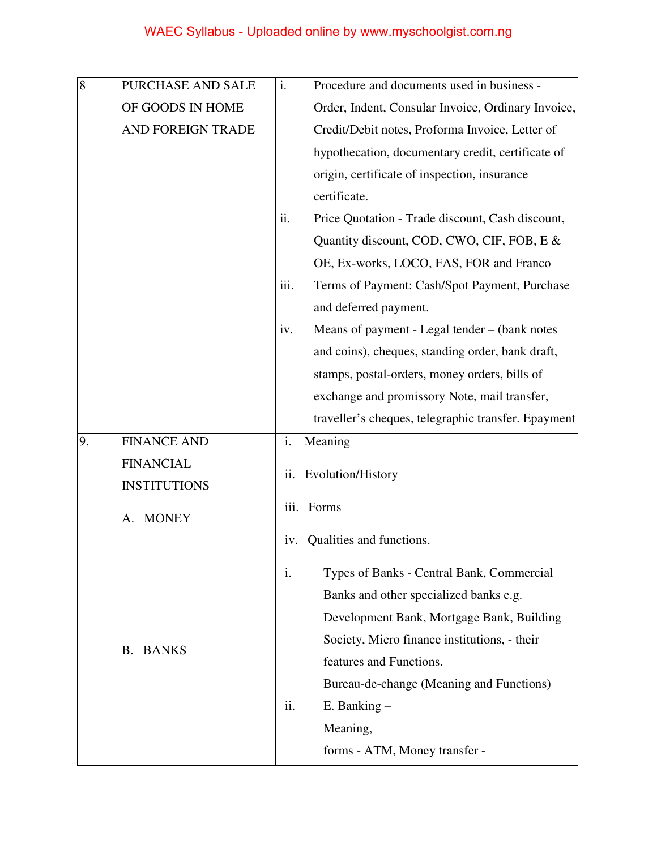| 8  | PURCHASE AND SALE   | $\mathbf{i}$ . | Procedure and documents used in business -          |
|----|---------------------|----------------|-----------------------------------------------------|
|    | OF GOODS IN HOME    |                | Order, Indent, Consular Invoice, Ordinary Invoice,  |
|    | AND FOREIGN TRADE   |                | Credit/Debit notes, Proforma Invoice, Letter of     |
|    |                     |                | hypothecation, documentary credit, certificate of   |
|    |                     |                | origin, certificate of inspection, insurance        |
|    |                     |                | certificate.                                        |
|    |                     | ii.            | Price Quotation - Trade discount, Cash discount,    |
|    |                     |                | Quantity discount, COD, CWO, CIF, FOB, E &          |
|    |                     |                | OE, Ex-works, LOCO, FAS, FOR and Franco             |
|    |                     | iii.           | Terms of Payment: Cash/Spot Payment, Purchase       |
|    |                     |                | and deferred payment.                               |
|    |                     | iv.            | Means of payment - Legal tender – (bank notes       |
|    |                     |                | and coins), cheques, standing order, bank draft,    |
|    |                     |                | stamps, postal-orders, money orders, bills of       |
|    |                     |                | exchange and promissory Note, mail transfer,        |
|    |                     |                | traveller's cheques, telegraphic transfer. Epayment |
| 9. | <b>FINANCE AND</b>  | i.             | Meaning                                             |
|    | <b>FINANCIAL</b>    |                |                                                     |
|    |                     | ii.            | Evolution/History                                   |
|    | <b>INSTITUTIONS</b> |                |                                                     |
|    | A. MONEY            | iii.           | Forms                                               |
|    |                     | 1V.            | Qualities and functions.                            |
|    |                     | i.             | Types of Banks - Central Bank, Commercial           |
|    |                     |                | Banks and other specialized banks e.g.              |
|    |                     |                | Development Bank, Mortgage Bank, Building           |
|    |                     |                | Society, Micro finance institutions, - their        |
|    | <b>B. BANKS</b>     |                | features and Functions.                             |
|    |                     |                | Bureau-de-change (Meaning and Functions)            |
|    |                     | ii.            | $E.$ Banking $-$                                    |
|    |                     |                | Meaning,                                            |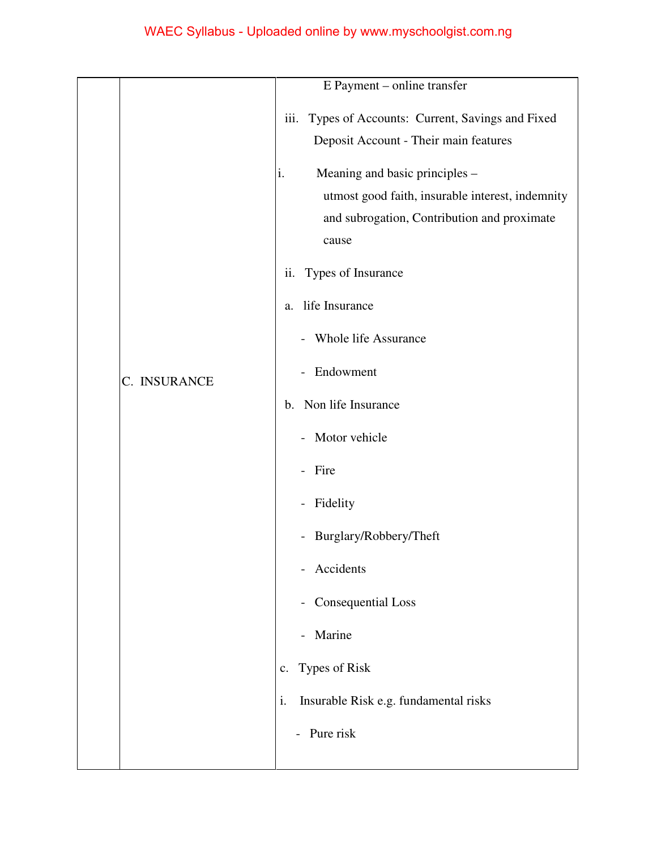|              | E Payment – online transfer                                                                                                                                                                                                                                                                             |
|--------------|---------------------------------------------------------------------------------------------------------------------------------------------------------------------------------------------------------------------------------------------------------------------------------------------------------|
|              | iii.<br>Types of Accounts: Current, Savings and Fixed<br>Deposit Account - Their main features<br>Meaning and basic principles -<br>i.<br>utmost good faith, insurable interest, indemnity<br>and subrogation, Contribution and proximate<br>cause<br>Types of Insurance<br>ii.<br>life Insurance<br>a. |
| C. INSURANCE | Whole life Assurance<br>Endowment<br>$\overline{\phantom{0}}$<br>Non life Insurance<br>b.<br>Motor vehicle<br>$\overline{\phantom{0}}$                                                                                                                                                                  |
|              | Fire<br>Fidelity<br>$\overline{\phantom{0}}$                                                                                                                                                                                                                                                            |
|              | Burglary/Robbery/Theft<br>$\overline{\phantom{0}}$<br>Accidents<br>$\qquad \qquad \blacksquare$<br><b>Consequential Loss</b><br>$\qquad \qquad \blacksquare$                                                                                                                                            |
|              | Marine<br>$\overline{\phantom{0}}$<br>Types of Risk<br>c.                                                                                                                                                                                                                                               |
|              | i.<br>Insurable Risk e.g. fundamental risks<br>Pure risk                                                                                                                                                                                                                                                |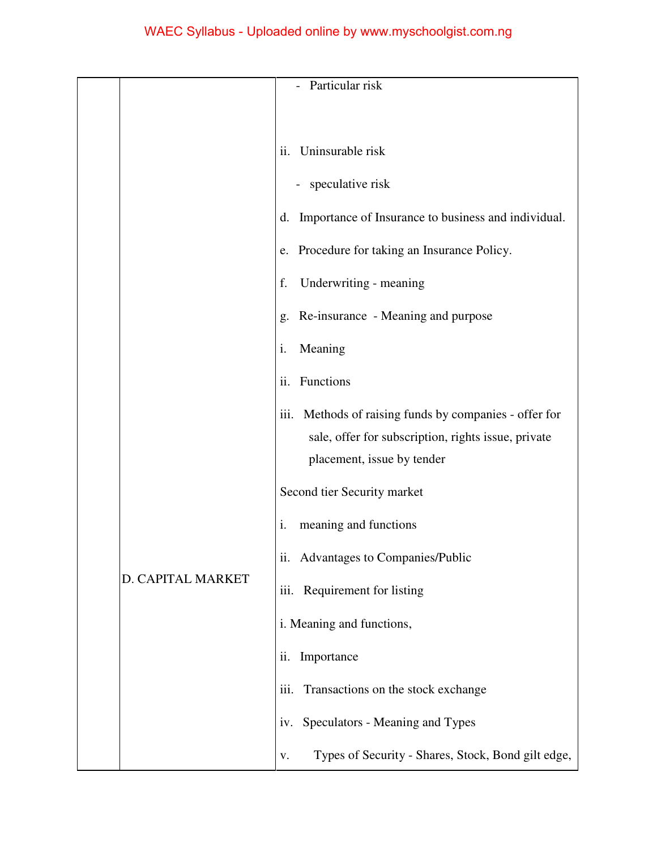|  |                   | Particular risk                                                                                                                                |
|--|-------------------|------------------------------------------------------------------------------------------------------------------------------------------------|
|  |                   |                                                                                                                                                |
|  |                   |                                                                                                                                                |
|  |                   | Uninsurable risk<br>ii.                                                                                                                        |
|  |                   | speculative risk                                                                                                                               |
|  |                   | Importance of Insurance to business and individual.<br>d.                                                                                      |
|  |                   | e. Procedure for taking an Insurance Policy.                                                                                                   |
|  |                   | Underwriting - meaning<br>f.                                                                                                                   |
|  |                   | Re-insurance - Meaning and purpose<br>g.                                                                                                       |
|  |                   | Meaning<br>i.                                                                                                                                  |
|  |                   | ii.<br>Functions                                                                                                                               |
|  |                   | Methods of raising funds by companies - offer for<br>111.<br>sale, offer for subscription, rights issue, private<br>placement, issue by tender |
|  |                   |                                                                                                                                                |
|  |                   | Second tier Security market                                                                                                                    |
|  |                   | meaning and functions<br>i.                                                                                                                    |
|  |                   | ii. Advantages to Companies/Public                                                                                                             |
|  | D. CAPITAL MARKET | iii. Requirement for listing                                                                                                                   |
|  |                   | i. Meaning and functions,                                                                                                                      |
|  |                   | Importance<br>ii.                                                                                                                              |
|  |                   | iii.<br>Transactions on the stock exchange                                                                                                     |
|  |                   | Speculators - Meaning and Types<br>1V.                                                                                                         |
|  |                   | Types of Security - Shares, Stock, Bond gilt edge,<br>v.                                                                                       |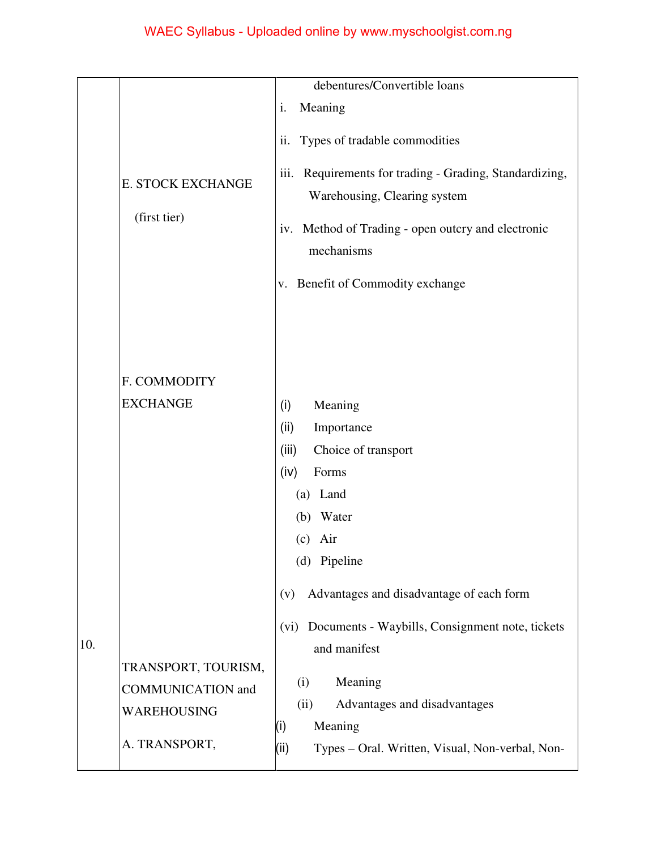|     |                          | debentures/Convertible loans                               |
|-----|--------------------------|------------------------------------------------------------|
|     |                          |                                                            |
|     |                          | Meaning<br>i.                                              |
|     |                          | Types of tradable commodities<br>ii.                       |
|     |                          |                                                            |
|     | E. STOCK EXCHANGE        | Requirements for trading - Grading, Standardizing,<br>111. |
|     |                          | Warehousing, Clearing system                               |
|     | (first tier)             |                                                            |
|     |                          | Method of Trading - open outcry and electronic<br>1V.      |
|     |                          | mechanisms                                                 |
|     |                          | Benefit of Commodity exchange<br>V.                        |
|     |                          |                                                            |
|     |                          |                                                            |
|     |                          |                                                            |
|     |                          |                                                            |
|     | F. COMMODITY             |                                                            |
|     | <b>EXCHANGE</b>          | (i)<br>Meaning                                             |
|     |                          | Importance<br>(ii)                                         |
|     |                          | (iii)<br>Choice of transport                               |
|     |                          | (iv)<br>Forms                                              |
|     |                          | Land<br>(a)                                                |
|     |                          | Water<br>(b)                                               |
|     |                          | Air<br>(c)                                                 |
|     |                          | (d) Pipeline                                               |
|     |                          |                                                            |
|     |                          | Advantages and disadvantage of each form<br>(v)            |
|     |                          |                                                            |
| 10. |                          | Documents - Waybills, Consignment note, tickets<br>(vi)    |
|     | TRANSPORT, TOURISM,      | and manifest                                               |
|     | <b>COMMUNICATION</b> and | Meaning<br>(i)                                             |
|     |                          | Advantages and disadvantages<br>(ii)                       |
|     | WAREHOUSING              | Meaning<br>(i)                                             |
|     | A. TRANSPORT,            | (ii)<br>Types - Oral. Written, Visual, Non-verbal, Non-    |
|     |                          |                                                            |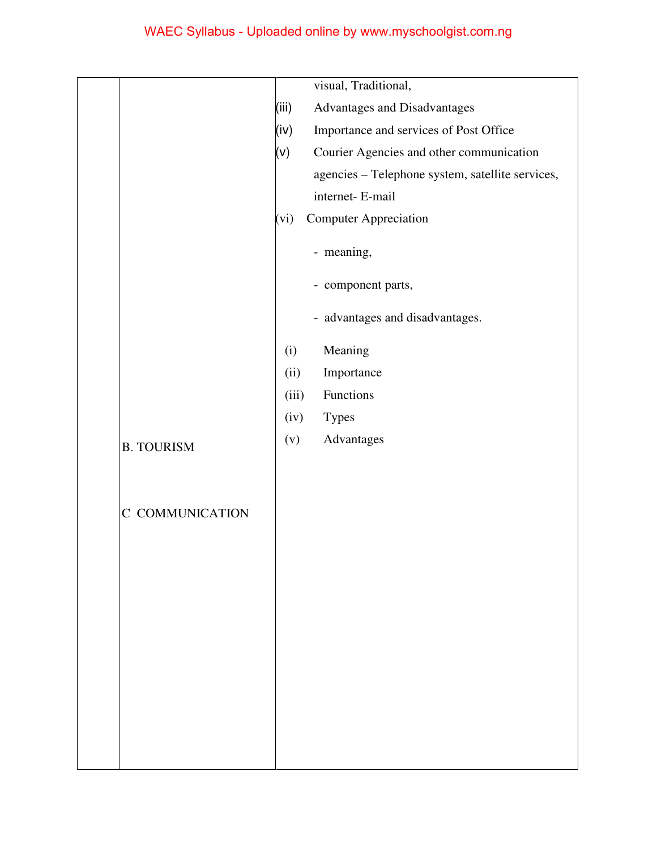|                   | visual, Traditional,                                 |
|-------------------|------------------------------------------------------|
|                   | (iii)<br><b>Advantages and Disadvantages</b>         |
|                   | (iv)<br>Importance and services of Post Office       |
|                   | $(\vee)$<br>Courier Agencies and other communication |
|                   | agencies - Telephone system, satellite services,     |
|                   | internet- E-mail                                     |
|                   | <b>Computer Appreciation</b><br>(vi)                 |
|                   | - meaning,                                           |
|                   | - component parts,                                   |
|                   | - advantages and disadvantages.                      |
|                   | Meaning<br>(i)                                       |
|                   | Importance<br>(ii)                                   |
|                   | Functions<br>(iii)                                   |
|                   | <b>Types</b><br>(iv)                                 |
| <b>B. TOURISM</b> | Advantages<br>(v)                                    |
|                   |                                                      |
| C COMMUNICATION   |                                                      |
|                   |                                                      |
|                   |                                                      |
|                   |                                                      |
|                   |                                                      |
|                   |                                                      |
|                   |                                                      |
|                   |                                                      |
|                   |                                                      |
|                   |                                                      |
|                   |                                                      |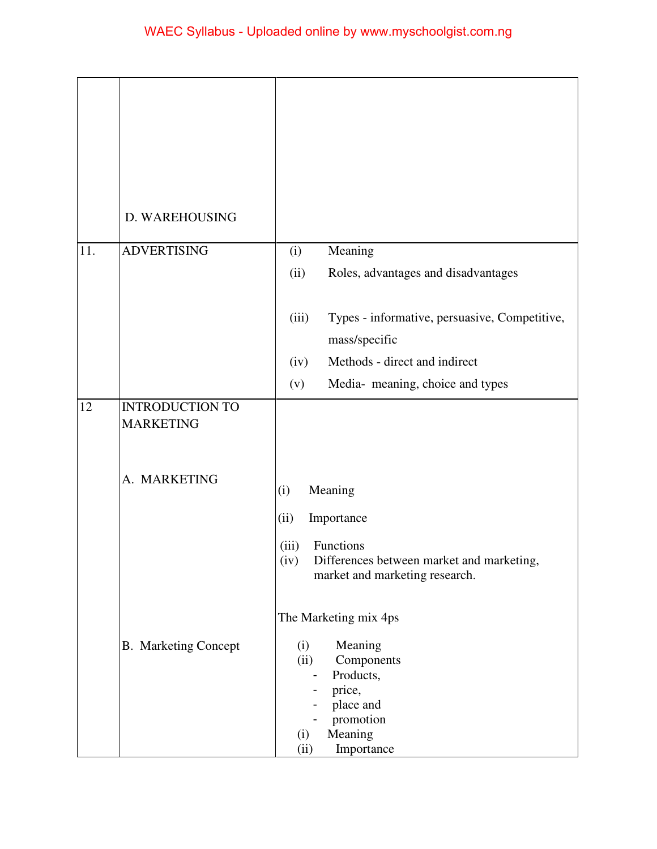|     | D. WAREHOUSING                             |                                                                                                                                                               |
|-----|--------------------------------------------|---------------------------------------------------------------------------------------------------------------------------------------------------------------|
| 11. | <b>ADVERTISING</b>                         | Meaning<br>(i)                                                                                                                                                |
|     |                                            | (ii)<br>Roles, advantages and disadvantages                                                                                                                   |
|     |                                            | Types - informative, persuasive, Competitive,<br>(iii)<br>mass/specific                                                                                       |
|     |                                            | Methods - direct and indirect<br>(iv)                                                                                                                         |
|     |                                            | Media-meaning, choice and types<br>(v)                                                                                                                        |
| 12  | <b>INTRODUCTION TO</b><br><b>MARKETING</b> |                                                                                                                                                               |
|     | A. MARKETING                               | Meaning<br>(i)                                                                                                                                                |
|     |                                            | Importance<br>(ii)                                                                                                                                            |
|     |                                            | Functions<br>(iii)                                                                                                                                            |
|     |                                            | Differences between market and marketing,<br>(iv)<br>market and marketing research.                                                                           |
|     |                                            | The Marketing mix 4ps                                                                                                                                         |
|     | <b>B.</b> Marketing Concept                | Meaning<br>(i)<br>Components<br>(ii)<br>Products,<br>$\qquad \qquad \blacksquare$<br>price,<br>place and<br>promotion<br>Meaning<br>(i)<br>Importance<br>(ii) |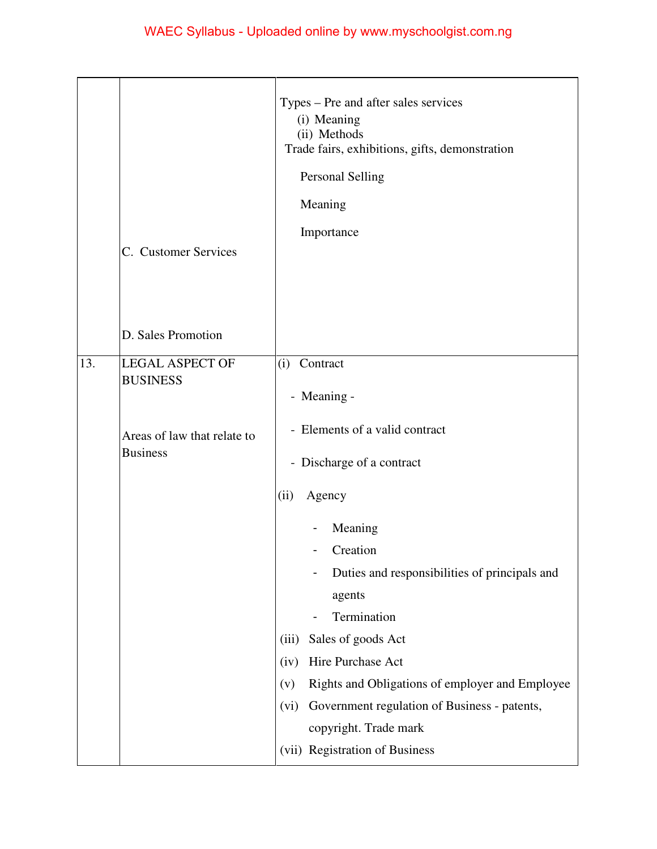|     | C. Customer Services                           | Types – Pre and after sales services<br>(i) Meaning<br>(ii) Methods<br>Trade fairs, exhibitions, gifts, demonstration<br>Personal Selling<br>Meaning<br>Importance                                                                                                                                                                                       |
|-----|------------------------------------------------|----------------------------------------------------------------------------------------------------------------------------------------------------------------------------------------------------------------------------------------------------------------------------------------------------------------------------------------------------------|
|     | D. Sales Promotion                             |                                                                                                                                                                                                                                                                                                                                                          |
| 13. | <b>LEGAL ASPECT OF</b><br><b>BUSINESS</b>      | (i) Contract<br>- Meaning -                                                                                                                                                                                                                                                                                                                              |
|     | Areas of law that relate to<br><b>Business</b> | - Elements of a valid contract<br>- Discharge of a contract                                                                                                                                                                                                                                                                                              |
|     |                                                | Agency<br>(ii)<br>Meaning<br>Creation<br>Duties and responsibilities of principals and<br>agents<br>Termination<br>Sales of goods Act<br>(iii)<br>Hire Purchase Act<br>(iv)<br>Rights and Obligations of employer and Employee<br>(v)<br>Government regulation of Business - patents,<br>(vi)<br>copyright. Trade mark<br>(vii) Registration of Business |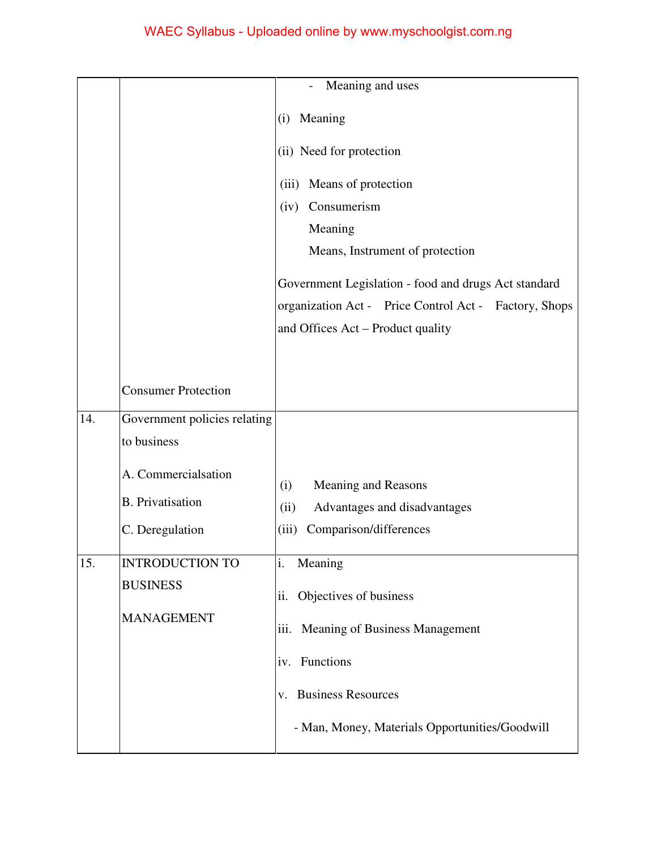|     |                              | Meaning and uses                                      |
|-----|------------------------------|-------------------------------------------------------|
|     |                              | Meaning<br>(i)                                        |
|     |                              | (ii) Need for protection                              |
|     |                              | Means of protection<br>(iii)                          |
|     |                              | Consumerism<br>(iv)                                   |
|     |                              | Meaning                                               |
|     |                              | Means, Instrument of protection                       |
|     |                              | Government Legislation - food and drugs Act standard  |
|     |                              | organization Act - Price Control Act - Factory, Shops |
|     |                              | and Offices Act – Product quality                     |
|     |                              |                                                       |
|     | <b>Consumer Protection</b>   |                                                       |
| 14. | Government policies relating |                                                       |
|     | to business                  |                                                       |
|     | A. Commercialsation          | Meaning and Reasons<br>(i)                            |
|     | <b>B.</b> Privatisation      | (ii)<br>Advantages and disadvantages                  |
|     | C. Deregulation              | (iii)<br>Comparison/differences                       |
|     |                              |                                                       |
| 15. | <b>INTRODUCTION TO</b>       | i.<br>Meaning                                         |
|     | <b>BUSINESS</b>              | Objectives of business<br>ii.                         |
|     | <b>MANAGEMENT</b>            |                                                       |
|     |                              | Meaning of Business Management<br>iii.                |
|     |                              | iv. Functions                                         |
|     |                              | <b>Business Resources</b><br>V.                       |
|     |                              | - Man, Money, Materials Opportunities/Goodwill        |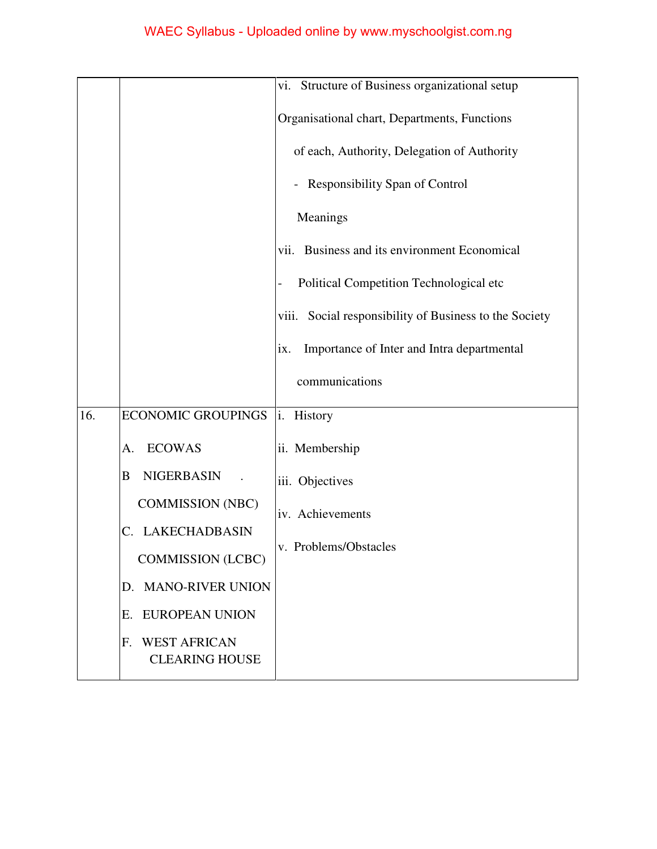|     |                                                             | vi. Structure of Business organizational setup            |
|-----|-------------------------------------------------------------|-----------------------------------------------------------|
|     |                                                             | Organisational chart, Departments, Functions              |
|     |                                                             | of each, Authority, Delegation of Authority               |
|     |                                                             | <b>Responsibility Span of Control</b>                     |
|     |                                                             | Meanings                                                  |
|     |                                                             | vii. Business and its environment Economical              |
|     |                                                             | Political Competition Technological etc                   |
|     |                                                             | Social responsibility of Business to the Society<br>viii. |
|     |                                                             | Importance of Inter and Intra departmental<br>ix.         |
|     |                                                             | communications                                            |
| 16. | <b>ECONOMIC GROUPINGS</b>                                   | i.<br>History                                             |
|     | <b>ECOWAS</b><br>А.                                         | ii. Membership                                            |
|     | <b>NIGERBASIN</b><br>B                                      | iii. Objectives                                           |
|     | <b>COMMISSION (NBC)</b>                                     | iv. Achievements                                          |
|     | LAKECHADBASIN<br>C.                                         | v. Problems/Obstacles                                     |
|     | <b>COMMISSION</b> (LCBC)                                    |                                                           |
|     | D. MANO-RIVER UNION                                         |                                                           |
|     | EUROPEAN UNION<br>Е.                                        |                                                           |
|     | <b>WEST AFRICAN</b><br>$F_{\cdot}$<br><b>CLEARING HOUSE</b> |                                                           |